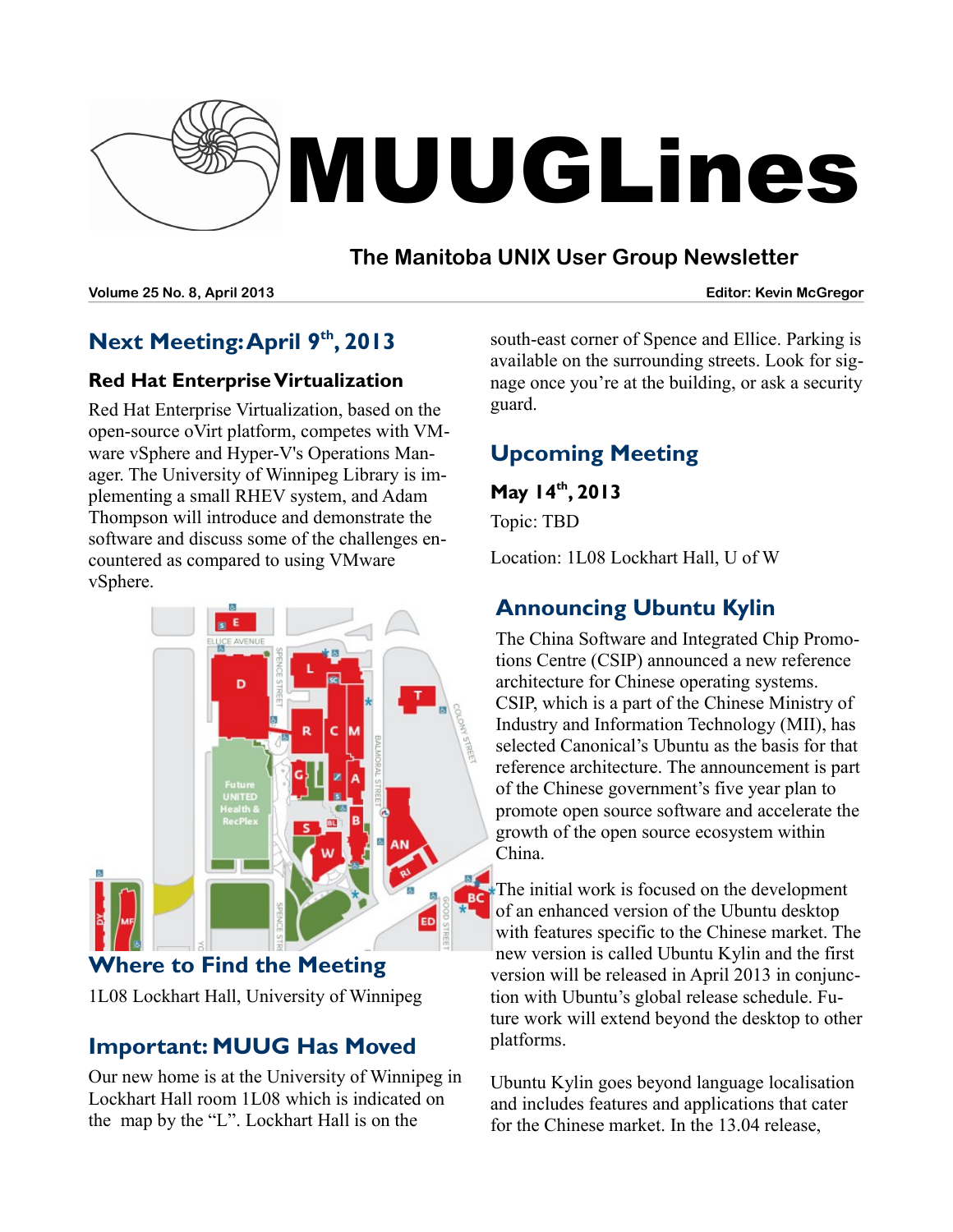

## **The Manitoba UNIX User Group Newsletter**

**Volume 25 No. 8, April 2013 Editor: Kevin McGregor**

# **Next Meeting: April 9 th, 2013**

## **Red Hat EnterpriseVirtualization**

Red Hat Enterprise Virtualization, based on the open-source oVirt platform, competes with VMware vSphere and Hyper-V's Operations Manager. The University of Winnipeg Library is implementing a small RHEV system, and Adam Thompson will introduce and demonstrate the software and discuss some of the challenges encountered as compared to using VMware vSphere.



**Where to Find the Meeting** 1L08 Lockhart Hall, University of Winnipeg

## **Important: MUUG Has Moved**

Our new home is at the University of Winnipeg in Lockhart Hall room 1L08 which is indicated on the map by the "L". Lockhart Hall is on the

south-east corner of Spence and Ellice. Parking is available on the surrounding streets. Look for signage once you're at the building, or ask a security guard.

# **Upcoming Meeting**

**May 14th, 2013** Topic: TBD

Location: 1L08 Lockhart Hall, U of W

# **Announcing Ubuntu Kylin**

The China Software and Integrated Chip Promotions Centre (CSIP) announced a new reference architecture for Chinese operating systems. CSIP, which is a part of the Chinese Ministry of Industry and Information Technology (MII), has selected Canonical's Ubuntu as the basis for that reference architecture. The announcement is part of the Chinese government's five year plan to promote open source software and accelerate the growth of the open source ecosystem within China.

The initial work is focused on the development of an enhanced version of the Ubuntu desktop with features specific to the Chinese market. The new version is called Ubuntu Kylin and the first version will be released in April 2013 in conjunction with Ubuntu's global release schedule. Future work will extend beyond the desktop to other platforms.

Ubuntu Kylin goes beyond language localisation and includes features and applications that cater for the Chinese market. In the 13.04 release,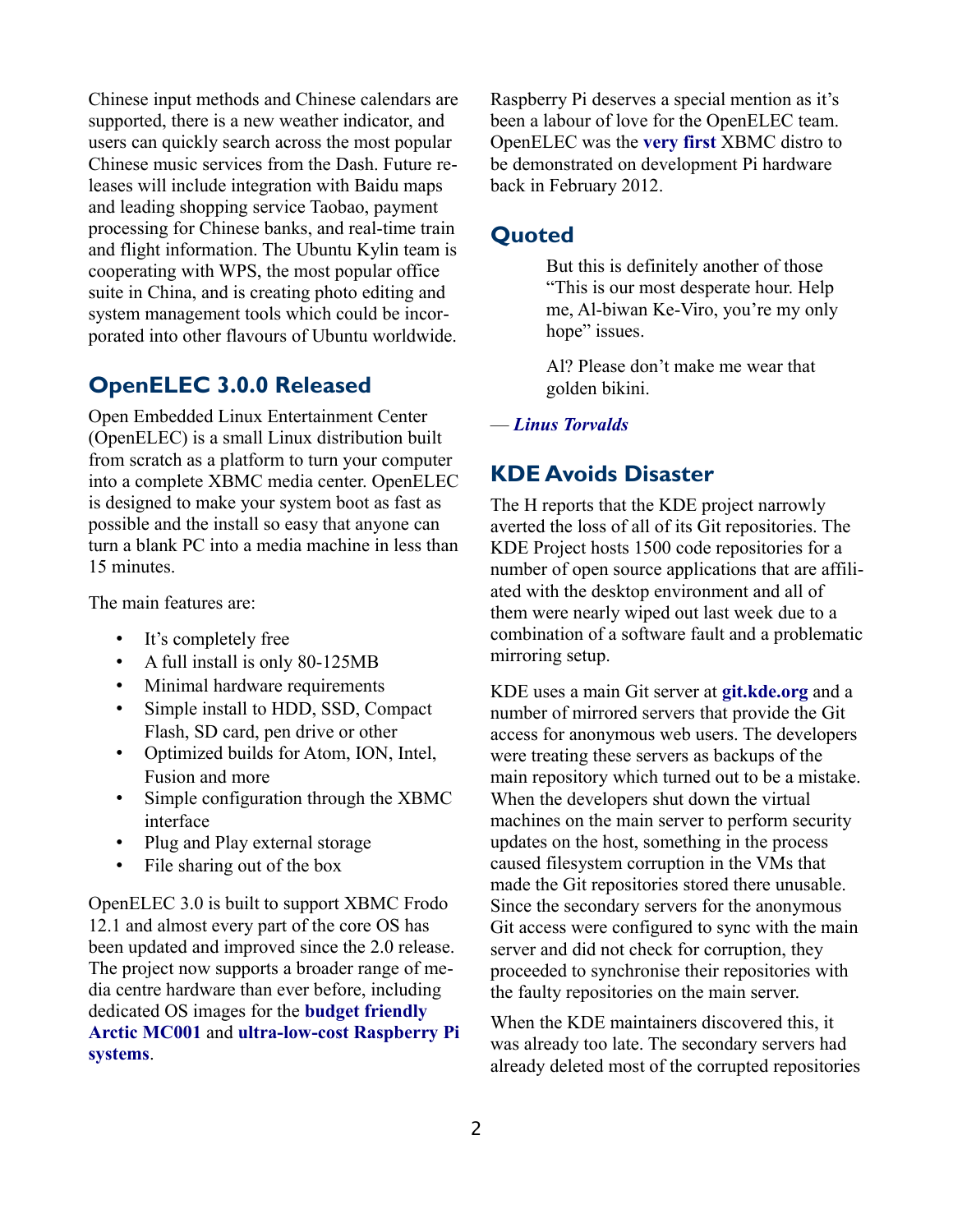Chinese input methods and Chinese calendars are supported, there is a new weather indicator, and users can quickly search across the most popular Chinese music services from the Dash. Future releases will include integration with Baidu maps and leading shopping service Taobao, payment processing for Chinese banks, and real-time train and flight information. The Ubuntu Kylin team is cooperating with WPS, the most popular office suite in China, and is creating photo editing and system management tools which could be incorporated into other flavours of Ubuntu worldwide.

### **OpenELEC 3.0.0 Released**

Open Embedded Linux Entertainment Center (OpenELEC) is a small Linux distribution built from scratch as a platform to turn your computer into a complete XBMC media center. OpenELEC is designed to make your system boot as fast as possible and the install so easy that anyone can turn a blank PC into a media machine in less than 15 minutes.

The main features are:

- It's completely free
- A full install is only 80-125MB
- Minimal hardware requirements
- Simple install to HDD, SSD, Compact Flash, SD card, pen drive or other
- Optimized builds for Atom, ION, Intel, Fusion and more
- Simple configuration through the XBMC interface
- Plug and Play external storage
- File sharing out of the box

OpenELEC 3.0 is built to support XBMC Frodo 12.1 and almost every part of the core OS has been updated and improved since the 2.0 release. The project now supports a broader range of media centre hardware than ever before, including dedicated OS images for the **[budget friendly](http://www.arctic.ac/en/p/living/entertainment-center.html)  [Arctic MC001](http://www.arctic.ac/en/p/living/entertainment-center.html)** and **[ultra-low-cost Raspberry Pi](http://www.raspberrypi.org/about) [systems](http://www.raspberrypi.org/about)**.

Raspberry Pi deserves a special mention as it's been a labour of love for the OpenELEC team. OpenELEC was the **[very first](http://www.openelec.tv/news/23-development/39-openelec-on-raspberry-pi-our-first-arm-device-supported)** XBMC distro to be demonstrated on development Pi hardware back in February 2012.

#### **Quoted**

But this is definitely another of those "This is our most desperate hour. Help me, Al-biwan Ke-Viro, you're my only hope" issues.

Al? Please don't make me wear that golden bikini.

#### — *[Linus Torvalds](https://lwn.net/Articles/542665/)*

### **KDE Avoids Disaster**

The H reports that the KDE project narrowly averted the loss of all of its Git repositories. The KDE Project hosts 1500 code repositories for a number of open source applications that are affiliated with the desktop environment and all of them were nearly wiped out last week due to a combination of a software fault and a problematic mirroring setup.

KDE uses a main Git server at **[git.kde.org](http://git.kde.org/)** and a number of mirrored servers that provide the Git access for anonymous web users. The developers were treating these servers as backups of the main repository which turned out to be a mistake. When the developers shut down the virtual machines on the main server to perform security updates on the host, something in the process caused filesystem corruption in the VMs that made the Git repositories stored there unusable. Since the secondary servers for the anonymous Git access were configured to sync with the main server and did not check for corruption, they proceeded to synchronise their repositories with the faulty repositories on the main server.

When the KDE maintainers discovered this, it was already too late. The secondary servers had already deleted most of the corrupted repositories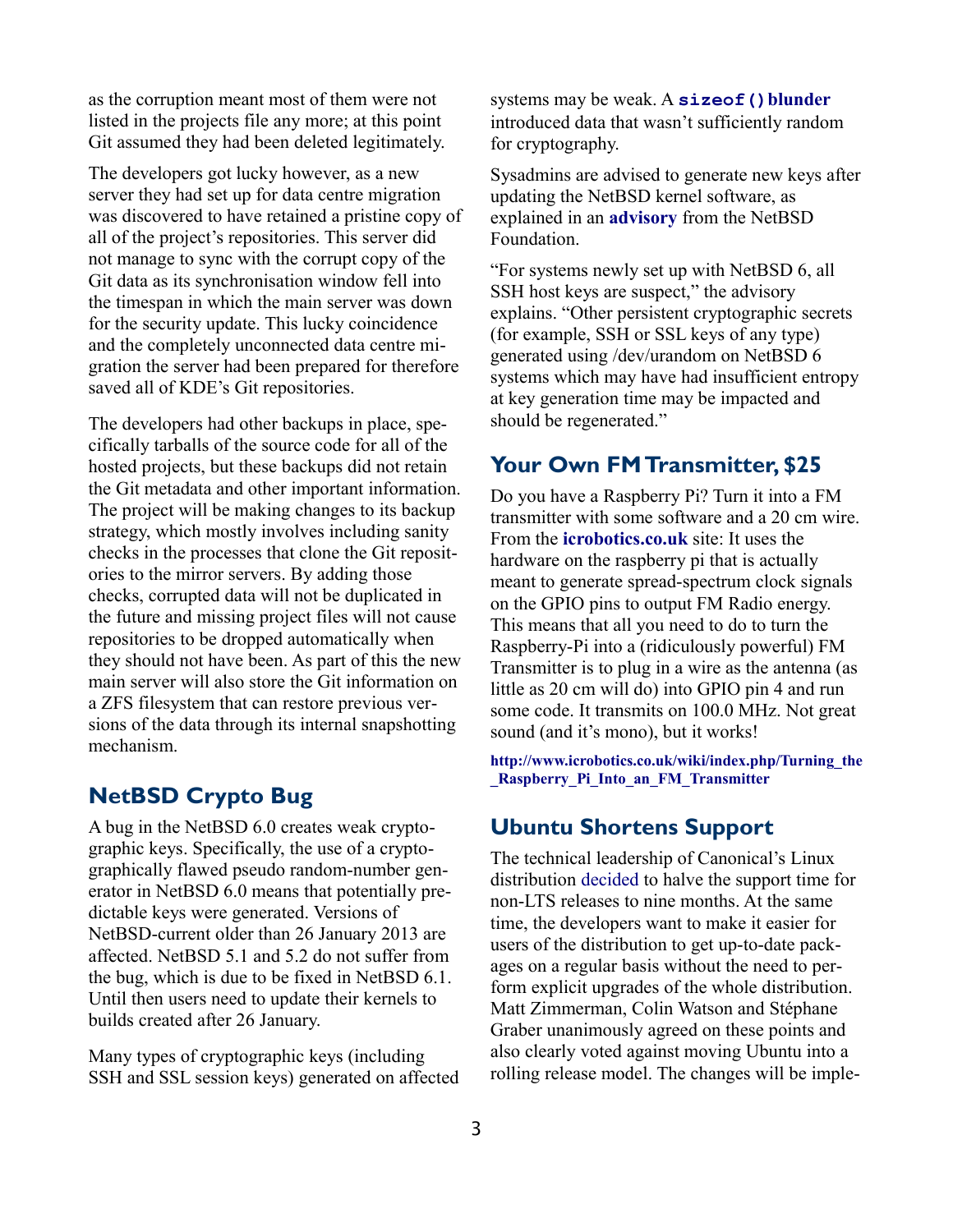as the corruption meant most of them were not listed in the projects file any more; at this point Git assumed they had been deleted legitimately.

The developers got lucky however, as a new server they had set up for data centre migration was discovered to have retained a pristine copy of all of the project's repositories. This server did not manage to sync with the corrupt copy of the Git data as its synchronisation window fell into the timespan in which the main server was down for the security update. This lucky coincidence and the completely unconnected data centre migration the server had been prepared for therefore saved all of KDE's Git repositories.

The developers had other backups in place, specifically tarballs of the source code for all of the hosted projects, but these backups did not retain the Git metadata and other important information. The project will be making changes to its backup strategy, which mostly involves including sanity checks in the processes that clone the Git repositories to the mirror servers. By adding those checks, corrupted data will not be duplicated in the future and missing project files will not cause repositories to be dropped automatically when they should not have been. As part of this the new main server will also store the Git information on a ZFS filesystem that can restore previous versions of the data through its internal snapshotting mechanism.

## **NetBSD Crypto Bug**

A bug in the NetBSD 6.0 creates weak cryptographic keys. Specifically, the use of a cryptographically flawed pseudo random-number generator in NetBSD 6.0 means that potentially predictable keys were generated. Versions of NetBSD-current older than 26 January 2013 are affected. NetBSD 5.1 and 5.2 do not suffer from the bug, which is due to be fixed in NetBSD 6.1. Until then users need to update their kernels to builds created after 26 January.

Many types of cryptographic keys (including SSH and SSL session keys) generated on affected systems may be weak. A **[sizeof\(\)](http://cvsweb.netbsd.org/bsdweb.cgi/src/sys/kern/subr_cprng.c.diff?r1=1.14&r2=1.15&only_with_tag=MAIN&f=h)[blunder](http://cvsweb.netbsd.org/bsdweb.cgi/src/sys/kern/subr_cprng.c.diff?r1=1.14&r2=1.15&only_with_tag=MAIN&f=h)** introduced data that wasn't sufficiently random for cryptography.

Sysadmins are advised to generate new keys after updating the NetBSD kernel software, as explained in an **[advisory](http://ftp.netbsd.org/pub/NetBSD/security/advisories/NetBSD-SA2013-003.txt.asc)** from the NetBSD Foundation.

"For systems newly set up with NetBSD 6, all SSH host keys are suspect," the advisory explains. "Other persistent cryptographic secrets (for example, SSH or SSL keys of any type) generated using /dev/urandom on NetBSD 6 systems which may have had insufficient entropy at key generation time may be impacted and should be regenerated."

### **Your Own FM Transmitter, \$25**

Do you have a Raspberry Pi? Turn it into a FM transmitter with some software and a 20 cm wire. From the **[icrobotics.co.uk](http://www.icrobotics.co.uk/wiki/index.php/Turning_the_Raspberry_Pi_Into_an_FM_Transmitter)** site: It uses the hardware on the raspberry pi that is actually meant to generate spread-spectrum clock signals on the GPIO pins to output FM Radio energy. This means that all you need to do to turn the Raspberry-Pi into a (ridiculously powerful) FM Transmitter is to plug in a wire as the antenna (as little as 20 cm will do) into GPIO pin 4 and run some code. It transmits on 100.0 MHz. Not great sound (and it's mono), but it works!

**[http://www.icrobotics.co.uk/wiki/index.php/Turning\\_the](http://www.icrobotics.co.uk/wiki/index.php/Turning_the_Raspberry_Pi_Into_an_FM_Transmitter) [\\_Raspberry\\_Pi\\_Into\\_an\\_FM\\_Transmitter](http://www.icrobotics.co.uk/wiki/index.php/Turning_the_Raspberry_Pi_Into_an_FM_Transmitter)**

### **Ubuntu Shortens Support**

The technical leadership of Canonical's Linux distribution [decided](http://ubottu.com/meetingology/logs/ubuntu-meeting/2013/ubuntu-meeting.2013-03-18-21.01.moin.txt) to halve the support time for non-LTS releases to nine months. At the same time, the developers want to make it easier for users of the distribution to get up-to-date packages on a regular basis without the need to perform explicit upgrades of the whole distribution. Matt Zimmerman, Colin Watson and Stéphane Graber unanimously agreed on these points and also clearly voted against moving Ubuntu into a rolling release model. The changes will be imple-